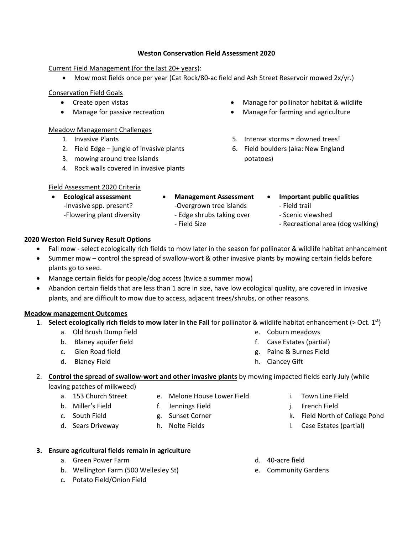#### **Weston Conservation Field Assessment 2020**

Current Field Management (for the last 20+ years):

• Mow most fields once per year (Cat Rock/80-ac field and Ash Street Reservoir mowed 2x/yr.)

Conservation Field Goals

- Create open vistas
- Manage for passive recreation

#### Meadow Management Challenges

- 1. Invasive Plants
- 2. Field Edge jungle of invasive plants
- 3. mowing around tree Islands
- 4. Rock walls covered in invasive plants
- Manage for pollinator habitat & wildlife
- Manage for farming and agriculture
- 5. Intense storms = downed trees!
- 6. Field boulders (aka: New England potatoes)

### Field Assessment 2020 Criteria

- **Ecological assessment** -Invasive spp. present? -Flowering plant diversity
- **Management Assessment** -Overgrown tree islands
	- Edge shrubs taking over
	- Field Size
- **Important public qualities**
	- Field trail
	- Scenic viewshed
	- Recreational area (dog walking)

### **2020 Weston Field Survey Result Options**

- Fall mow select ecologically rich fields to mow later in the season for pollinator & wildlife habitat enhancement
- Summer mow control the spread of swallow-wort & other invasive plants by mowing certain fields before plants go to seed.
- Manage certain fields for people/dog access (twice a summer mow)
- Abandon certain fields that are less than 1 acre in size, have low ecological quality, are covered in invasive plants, and are difficult to mow due to access, adjacent trees/shrubs, or other reasons.

#### **Meadow management Outcomes**

- 1. **Select ecologically rich fields to mow later in the Fall** for pollinator & wildlife habitat enhancement (> Oct. 1<sup>st</sup>)
	- a. Old Brush Dump field
	- b. Blaney aquifer field
	- c. Glen Road field
	- d. Blaney Field
- e. Coburn meadows
- f. Case Estates (partial)
- g. Paine & Burnes Field
- h. Clancey Gift

## 2. **Control the spread of swallow-wort and other invasive plants** by mowing impacted fields early July (while

#### leaving patches of milkweed) a. 153 Church Street

- e. Melone House Lower Field
- b. Miller's Field
- f. Jennings Field
- c. South Field
- g. Sunset Corner
- d. Sears Driveway
- h. Nolte Fields
- i. Town Line Field
- j. French Field
- k. Field North of College Pond
- l. Case Estates (partial)

- **3. Ensure agricultural fields remain in agriculture**
	- a. Green Power Farm
	- b. Wellington Farm (500 Wellesley St)
	- c. Potato Field/Onion Field
- d. 40-acre field
- e. Community Gardens
- 
- - - -
			-
		-
	-
-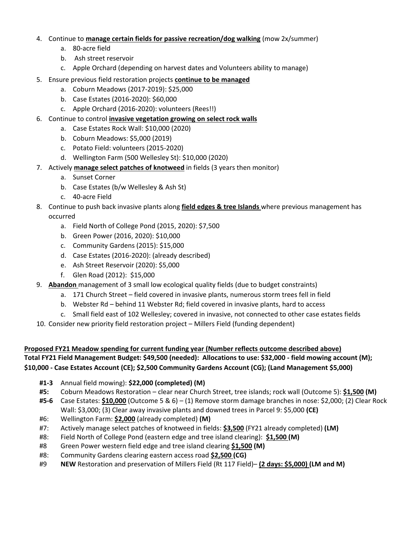- 4. Continue to **manage certain fields for passive recreation/dog walking** (mow 2x/summer)
	- a. 80-acre field
	- b. Ash street reservoir
	- c. Apple Orchard (depending on harvest dates and Volunteers ability to manage)
- 5. Ensure previous field restoration projects **continue to be managed**
	- a. Coburn Meadows (2017-2019): \$25,000
	- b. Case Estates (2016-2020): \$60,000
	- c. Apple Orchard (2016-2020): volunteers (Rees!!)
- 6. Continue to control **invasive vegetation growing on select rock walls**
	- a. Case Estates Rock Wall: \$10,000 (2020)
	- b. Coburn Meadows: \$5,000 (2019)
	- c. Potato Field: volunteers (2015-2020)
	- d. Wellington Farm (500 Wellesley St): \$10,000 (2020)
- 7. Actively **manage select patches of knotweed** in fields (3 years then monitor)
	- a. Sunset Corner
	- b. Case Estates (b/w Wellesley & Ash St)
	- c. 40-acre Field
- 8. Continue to push back invasive plants along **field edges & tree Islands** where previous management has occurred
	- a. Field North of College Pond (2015, 2020): \$7,500
	- b. Green Power (2016, 2020): \$10,000
	- c. Community Gardens (2015): \$15,000
	- d. Case Estates (2016-2020): (already described)
	- e. Ash Street Reservoir (2020): \$5,000
	- f. Glen Road (2012): \$15,000
- 9. **Abandon** management of 3 small low ecological quality fields (due to budget constraints)
	- a. 171 Church Street field covered in invasive plants, numerous storm trees fell in field
	- b. Webster Rd behind 11 Webster Rd; field covered in invasive plants, hard to access
	- c. Small field east of 102 Wellesley; covered in invasive, not connected to other case estates fields
- 10. Consider new priority field restoration project Millers Field (funding dependent)
- **Proposed FY21 Meadow spending for current funding year (Number reflects outcome described above) Total FY21 Field Management Budget: \$49,500 (needed): Allocations to use: \$32,000 - field mowing account (M); \$10,000 - Case Estates Account (CE); \$2,500 Community Gardens Account (CG); (Land Management \$5,000)**
	- **#1-3** Annual field mowing): **\$22,000 (completed) (M)**
	- **#5:** Coburn Meadows Restoration clear near Church Street, tree islands; rock wall (Outcome 5): **\$1,500 (M)**
	- **#5-6** Case Estates: **\$10,000** (Outcome 5 & 6) (1) Remove storm damage branches in nose: \$2,000; (2) Clear Rock Wall: \$3,000; (3) Clear away invasive plants and downed trees in Parcel 9: \$5,000 **(CE)**
	- #6: Wellington Farm: **\$2,000** (already completed) **(M)**
	- #7: Actively manage select patches of knotweed in fields: **\$3,500** (FY21 already completed) **(LM)**
	- #8: Field North of College Pond (eastern edge and tree island clearing): **\$1,500 (M)**
	- #8 Green Power western field edge and tree island clearing **\$1,500 (M)**
	- #8: Community Gardens clearing eastern access road **\$2,500 (CG)**
	- #9 **NEW** Restoration and preservation of Millers Field (Rt 117 Field)– **(2 days: \$5,000) (LM and M)**